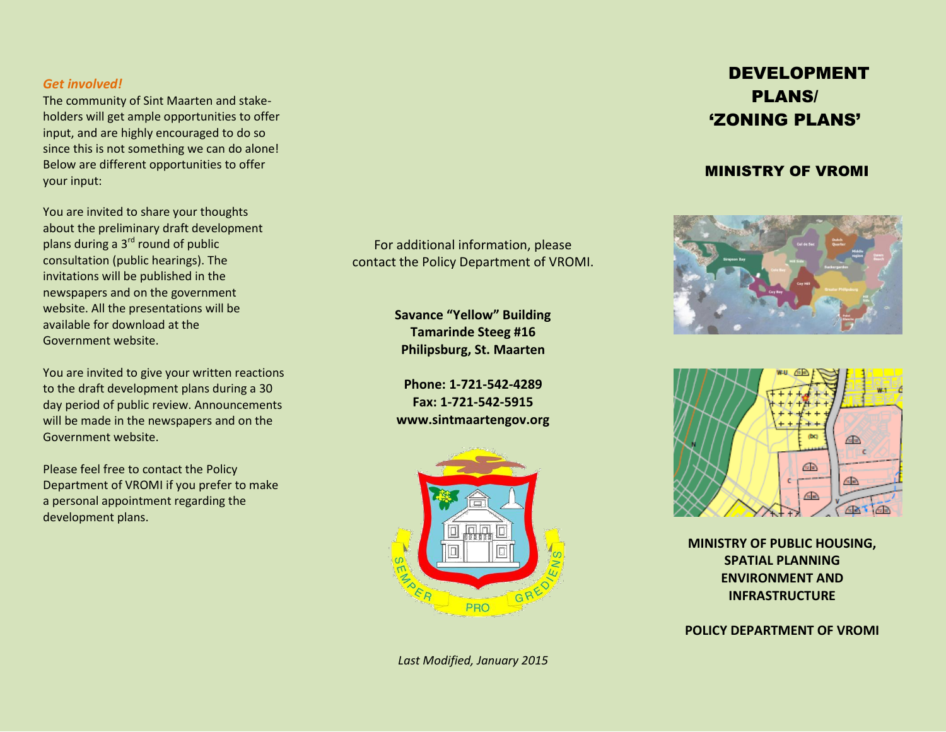#### *Get involved!*

The community of Sint Maarten and stakeholders will get ample opportunities to offer input, and are highly encouraged to do so since this is not something we can do alone! Below are different opportunities to offer your input:

You are invited to share your thoughts about the preliminary draft development plans during a 3<sup>rd</sup> round of public consultation (public hearings). The invitations will be published in the newspapers and on the government website. All the presentations will be available for download at the Government website.

You are invited to give your written reactions to the draft development plans during a 30 day period of public review. Announcements will be made in the newspapers and on the Government website.

Please feel free to contact the Policy Department of VROMI if you prefer to make a personal appointment regarding the development plans.

For additional information, please contact the Policy Department of VROMI.

> **Savance "Yellow" Building Tamarinde Steeg #16 Philipsburg, St. Maarten**

> **Phone: 1-721-542-4289 Fax: 1-721-542-5915 www.sintmaartengov.org**



*Last Modified, January 2015*

# DEVELOPMENT PLANS/ 'ZONING PLANS'

### MINISTRY OF VROMI





**MINISTRY OF PUBLIC HOUSING, SPATIAL PLANNING ENVIRONMENT AND INFRASTRUCTURE**

**POLICY DEPARTMENT OF VROMI**